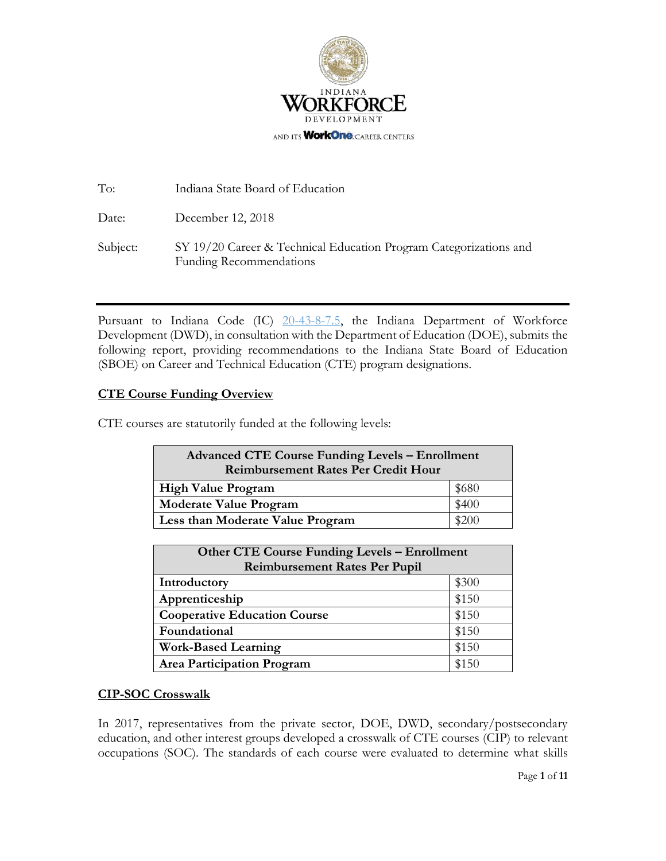

| To:      | Indiana State Board of Education                                                                    |
|----------|-----------------------------------------------------------------------------------------------------|
| Date:    | December 12, 2018                                                                                   |
| Subject: | SY 19/20 Career & Technical Education Program Categorizations and<br><b>Funding Recommendations</b> |

Pursuant to Indiana Code [\(IC\) 20-43-8-7.5,](http://iga.in.gov/legislative/laws/2017/ic/titles/020#20-43-8) the Indiana Department of Workforce Development (DWD), in consultation with the Department of Education (DOE), submits the following report, providing recommendations to the Indiana State Board of Education (SBOE) on Career and Technical Education (CTE) program designations.

## **CTE Course Funding Overview**

CTE courses are statutorily funded at the following levels:

| <b>Advanced CTE Course Funding Levels - Enrollment</b><br><b>Reimbursement Rates Per Credit Hour</b> |       |  |  |  |
|------------------------------------------------------------------------------------------------------|-------|--|--|--|
| <b>High Value Program</b>                                                                            | \$680 |  |  |  |
| <b>Moderate Value Program</b>                                                                        | \$400 |  |  |  |
| Less than Moderate Value Program                                                                     | \$200 |  |  |  |

| <b>Other CTE Course Funding Levels - Enrollment</b> |       |  |  |  |
|-----------------------------------------------------|-------|--|--|--|
| <b>Reimbursement Rates Per Pupil</b>                |       |  |  |  |
| Introductory                                        | \$300 |  |  |  |
| Apprenticeship                                      | \$150 |  |  |  |
| <b>Cooperative Education Course</b>                 | \$150 |  |  |  |
| Foundational                                        | \$150 |  |  |  |
| <b>Work-Based Learning</b>                          | \$150 |  |  |  |
| <b>Area Participation Program</b>                   | \$150 |  |  |  |

## **CIP-SOC Crosswalk**

In 2017, representatives from the private sector, DOE, DWD, secondary/postsecondary education, and other interest groups developed a crosswalk of CTE courses (CIP) to relevant occupations (SOC). The standards of each course were evaluated to determine what skills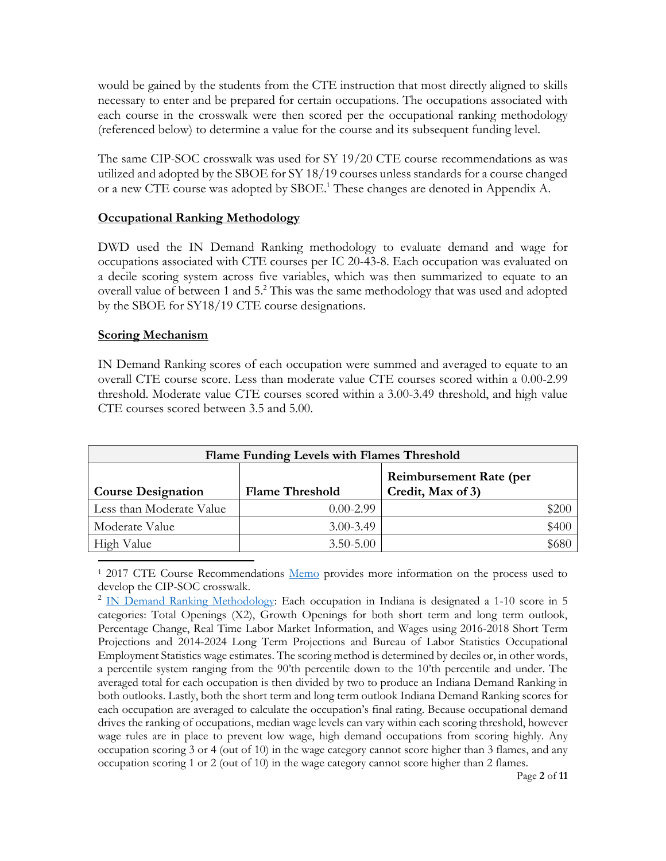would be gained by the students from the CTE instruction that most directly aligned to skills necessary to enter and be prepared for certain occupations. The occupations associated with each course in the crosswalk were then scored per the occupational ranking methodology (referenced below) to determine a value for the course and its subsequent funding level.

The same CIP-SOC crosswalk was used for SY 19/20 CTE course recommendations as was utilized and adopted by the SBOE for SY 18/19 courses unless standards for a course changed or a new CTE course was adopted by SBOE. <sup>1</sup> These changes are denoted in Appendix A.

## **Occupational Ranking Methodology**

DWD used the IN Demand Ranking methodology to evaluate demand and wage for occupations associated with CTE courses per IC 20-43-8. Each occupation was evaluated on a decile scoring system across five variables, which was then summarized to equate to an overall value of between 1 and 5. <sup>2</sup> This was the same methodology that was used and adopted by the SBOE for SY18/19 CTE course designations.

## **Scoring Mechanism**

l

IN Demand Ranking scores of each occupation were summed and averaged to equate to an overall CTE course score. Less than moderate value CTE courses scored within a 0.00-2.99 threshold. Moderate value CTE courses scored within a 3.00-3.49 threshold, and high value CTE courses scored between 3.5 and 5.00.

| Flame Funding Levels with Flames Threshold |                        |                                                     |       |  |  |  |
|--------------------------------------------|------------------------|-----------------------------------------------------|-------|--|--|--|
| <b>Course Designation</b>                  | <b>Flame Threshold</b> | <b>Reimbursement Rate (per</b><br>Credit, Max of 3) |       |  |  |  |
| Less than Moderate Value                   | $0.00 - 2.99$          |                                                     | \$200 |  |  |  |
| Moderate Value                             | $3.00 - 3.49$          |                                                     | \$400 |  |  |  |
| High Value                                 | $3.50 - 5.00$          |                                                     | \$680 |  |  |  |

<sup>1</sup> 2017 CTE Course Recommendations [Memo](https://www.in.gov/dwd/files/CTE%20Funding%20Report%20Amended%202018%2019.pdf) provides more information on the process used to develop the CIP-SOC crosswalk.

<sup>2</sup> [IN Demand Ranking](https://netsolutions.dwd.in.gov/new/INDemandMethodology.pdf) Methodology: Each occupation in Indiana is designated a 1-10 score in 5 categories: Total Openings (X2), Growth Openings for both short term and long term outlook, Percentage Change, Real Time Labor Market Information, and Wages using 2016-2018 Short Term Projections and 2014-2024 Long Term Projections and Bureau of Labor Statistics Occupational Employment Statistics wage estimates. The scoring method is determined by deciles or, in other words, a percentile system ranging from the 90'th percentile down to the 10'th percentile and under. The averaged total for each occupation is then divided by two to produce an Indiana Demand Ranking in both outlooks. Lastly, both the short term and long term outlook Indiana Demand Ranking scores for each occupation are averaged to calculate the occupation's final rating. Because occupational demand drives the ranking of occupations, median wage levels can vary within each scoring threshold, however wage rules are in place to prevent low wage, high demand occupations from scoring highly. Any occupation scoring 3 or 4 (out of 10) in the wage category cannot score higher than 3 flames, and any occupation scoring 1 or 2 (out of 10) in the wage category cannot score higher than 2 flames.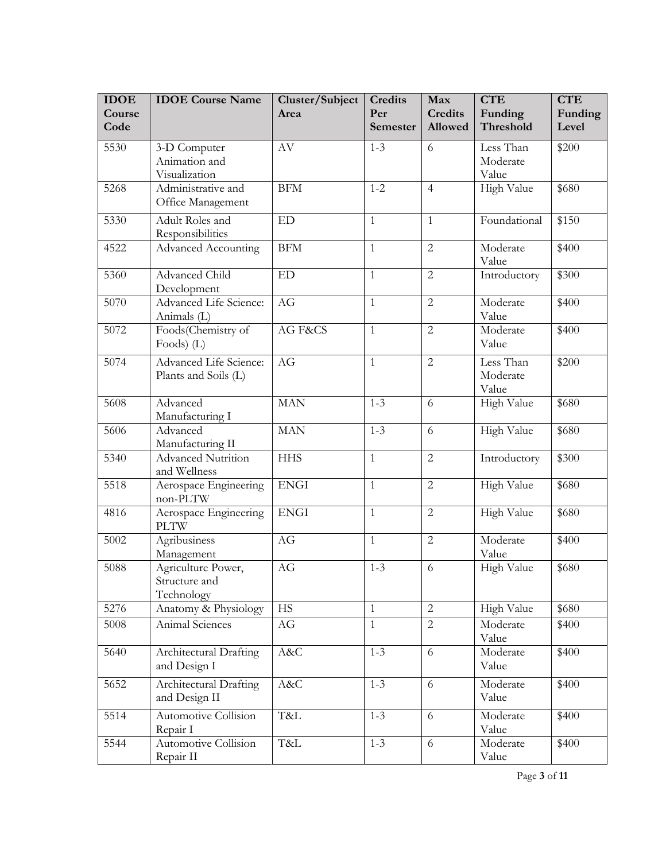| <b>IDOE</b>    | <b>IDOE</b> Course Name                           | Cluster/Subject | <b>Credits</b>  | Max                       | <b>CTE</b>                     | <b>CTE</b>       |
|----------------|---------------------------------------------------|-----------------|-----------------|---------------------------|--------------------------------|------------------|
| Course<br>Code |                                                   | Area            | Per<br>Semester | <b>Credits</b><br>Allowed | Funding<br>Threshold           | Funding<br>Level |
|                |                                                   |                 |                 |                           |                                |                  |
| 5530           | 3-D Computer                                      | AV              | $1 - 3$         | 6                         | Less Than                      | \$200            |
|                | Animation and                                     |                 |                 |                           | Moderate                       |                  |
| 5268           | Visualization<br>Administrative and               | <b>BFM</b>      | $1 - 2$         | $\overline{4}$            | Value<br>High Value            | \$680            |
|                | Office Management                                 |                 |                 |                           |                                |                  |
| 5330           | Adult Roles and<br>Responsibilities               | <b>ED</b>       | $\mathbf{1}$    | $\mathbf{1}$              | Foundational                   | \$150            |
| 4522           | <b>Advanced Accounting</b>                        | <b>BFM</b>      | $\mathbf{1}$    | $\overline{2}$            | Moderate<br>Value              | \$400            |
| 5360           | <b>Advanced Child</b><br>Development              | <b>ED</b>       | $\mathbf{1}$    | $\overline{2}$            | Introductory                   | \$300            |
| 5070           | <b>Advanced Life Science:</b><br>Animals (L)      | AG              | $\mathbf{1}$    | $\overline{2}$            | Moderate<br>Value              | \$400            |
| 5072           | Foods(Chemistry of<br>Foods) $(L)$                | AG F&CS         | $\mathbf{1}$    | $\overline{2}$            | Moderate<br>Value              | \$400            |
| 5074           | Advanced Life Science:<br>Plants and Soils (L)    | AG              | $\mathbf{1}$    | $\overline{2}$            | Less Than<br>Moderate<br>Value | \$200            |
| 5608           | Advanced<br>Manufacturing I                       | <b>MAN</b>      | $1 - 3$         | 6                         | High Value                     | \$680            |
| 5606           | Advanced<br>Manufacturing II                      | <b>MAN</b>      | $1 - 3$         | 6                         | High Value                     | \$680            |
| 5340           | Advanced Nutrition<br>and Wellness                | <b>HHS</b>      | $\mathbf{1}$    | $\overline{2}$            | Introductory                   | \$300            |
| 5518           | Aerospace Engineering<br>non-PLTW                 | <b>ENGI</b>     | $\mathbf{1}$    | $\overline{2}$            | High Value                     | \$680            |
| 4816           | Aerospace Engineering<br><b>PLTW</b>              | <b>ENGI</b>     | $\mathbf{1}$    | $\overline{2}$            | High Value                     | \$680            |
| 5002           | Agribusiness<br>Management                        | AG              | $\mathbf{1}$    | $\overline{2}$            | Moderate<br>Value              | \$400            |
| 5088           | Agriculture Power,<br>Structure and<br>Technology | AG              | $1 - 3$         | 6                         | <b>High Value</b>              | \$680            |
| 5276           | Anatomy & Physiology                              | <b>HS</b>       | $\mathbf{1}$    | $\overline{2}$            | High Value                     | \$680            |
| 5008           | Animal Sciences                                   | AG              | $\mathbf{1}$    | $\overline{2}$            | Moderate<br>Value              | \$400            |
| 5640           | Architectural Drafting<br>and Design I            | A&C             | $1 - 3$         | 6                         | Moderate<br>Value              | \$400            |
| 5652           | Architectural Drafting<br>and Design II           | A&C             | $1 - 3$         | 6                         | Moderate<br>Value              | \$400            |
| 5514           | Automotive Collision<br>Repair I                  | T&L             | $1 - 3$         | 6                         | Moderate<br>Value              | \$400            |
| 5544           | Automotive Collision<br>Repair II                 | T&L             | $1 - 3$         | 6                         | Moderate<br>Value              | \$400            |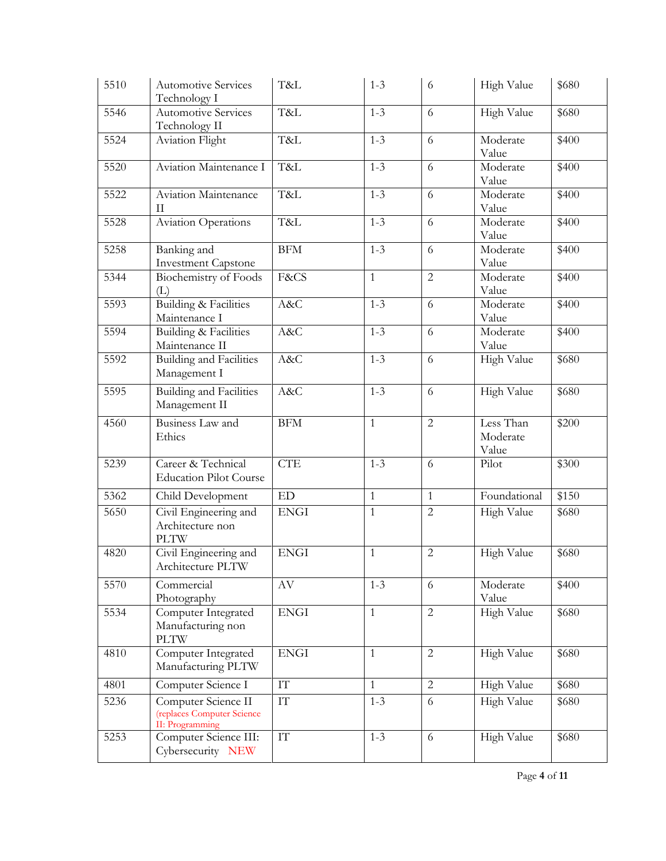| 5510 | <b>Automotive Services</b><br>Technology I                           | T&L                    | $1 - 3$      | 6              | High Value                     | \$680 |
|------|----------------------------------------------------------------------|------------------------|--------------|----------------|--------------------------------|-------|
| 5546 | <b>Automotive Services</b><br>Technology II                          | T&L                    | $1 - 3$      | 6              | High Value                     | \$680 |
| 5524 | Aviation Flight                                                      | T&L                    | $1 - 3$      | 6              | Moderate<br>Value              | \$400 |
| 5520 | Aviation Maintenance I                                               | T&L                    | $1 - 3$      | 6              | Moderate<br>Value              | \$400 |
| 5522 | <b>Aviation Maintenance</b><br>П                                     | T&L                    | $1 - 3$      | 6              | Moderate<br>Value              | \$400 |
| 5528 | <b>Aviation Operations</b>                                           | T&L                    | $1 - 3$      | 6              | Moderate<br>Value              | \$400 |
| 5258 | Banking and<br><b>Investment Capstone</b>                            | <b>BFM</b>             | $1 - 3$      | 6              | Moderate<br>Value              | \$400 |
| 5344 | Biochemistry of Foods<br>(L)                                         | F&CS                   | $\mathbf{1}$ | $\overline{2}$ | Moderate<br>Value              | \$400 |
| 5593 | <b>Building &amp; Facilities</b><br>Maintenance I                    | A&C                    | $1 - 3$      | 6              | Moderate<br>Value              | \$400 |
| 5594 | <b>Building &amp; Facilities</b><br>Maintenance II                   | A&C                    | $1 - 3$      | 6              | Moderate<br>Value              | \$400 |
| 5592 | <b>Building and Facilities</b><br>Management I                       | A&C                    | $1 - 3$      | 6              | High Value                     | \$680 |
| 5595 | <b>Building and Facilities</b><br>Management II                      | A&C                    | $1 - 3$      | 6              | High Value                     | \$680 |
| 4560 | Business Law and<br>Ethics                                           | <b>BFM</b>             | $\mathbf{1}$ | $\overline{2}$ | Less Than<br>Moderate<br>Value | \$200 |
| 5239 | Career & Technical<br><b>Education Pilot Course</b>                  | <b>CTE</b>             | $1 - 3$      | 6              | Pilot                          | \$300 |
| 5362 | Child Development                                                    | ED                     | $\mathbf{1}$ | $\mathbf{1}$   | Foundational                   | \$150 |
| 5650 | Civil Engineering and<br>Architecture non<br><b>PLTW</b>             | <b>ENGI</b>            | $\mathbf{1}$ | $\overline{2}$ | High Value                     | \$680 |
| 4820 | Civil Engineering and<br>Architecture PLTW                           | <b>ENGI</b>            | $\mathbf{1}$ | $\overline{2}$ | High Value                     | \$680 |
| 5570 | Commercial<br>Photography                                            | $\rm{AV}$              | $1 - 3$      | 6              | Moderate<br>Value              | \$400 |
| 5534 | Computer Integrated<br>Manufacturing non<br><b>PLTW</b>              | <b>ENGI</b>            | $\mathbf{1}$ | $\overline{2}$ | High Value                     | \$680 |
| 4810 | Computer Integrated<br>Manufacturing PLTW                            | <b>ENGI</b>            | $\mathbf{1}$ | $\overline{2}$ | High Value                     | \$680 |
| 4801 | Computer Science I                                                   | $\mathop{\mathrm{IT}}$ | $\mathbf{1}$ | $\overline{2}$ | High Value                     | \$680 |
| 5236 | Computer Science II<br>(replaces Computer Science<br>II: Programming | $\mathop{\mathrm{IT}}$ | $1 - 3$      | 6              | High Value                     | \$680 |
| 5253 | Computer Science III:<br>Cybersecurity NEW                           | $\mathop{\mathrm{IT}}$ | $1 - 3$      | 6              | High Value                     | \$680 |

Page **4** of **11**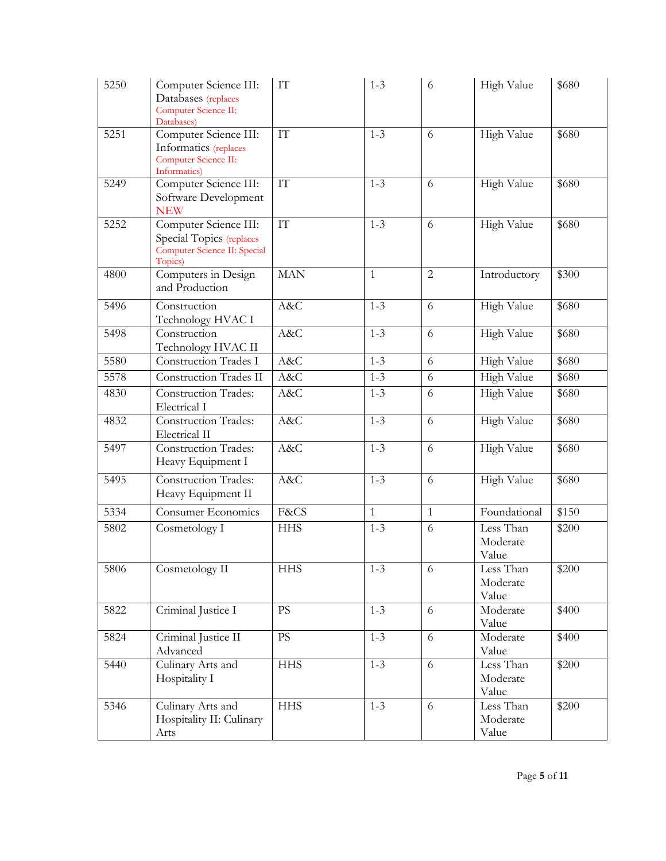| 5250 | Computer Science III:<br>Databases (replaces<br>Computer Science II:<br>Databases)           | IT                       | $1 - 3$      | 6              | High Value                     | \$680 |
|------|----------------------------------------------------------------------------------------------|--------------------------|--------------|----------------|--------------------------------|-------|
| 5251 | Computer Science III:<br>Informatics (replaces<br>Computer Science II:<br>Informatics)       | $\mathbf{I}\mathbf{T}$   | $1 - 3$      | 6              | High Value                     | \$680 |
| 5249 | Computer Science III:<br>Software Development<br><b>NEW</b>                                  | $\mathcal{I}\mathcal{T}$ | $1 - 3$      | 6              | High Value                     | \$680 |
| 5252 | Computer Science III:<br>Special Topics (replaces<br>Computer Science II: Special<br>Topics) | IT                       | $1 - 3$      | 6              | High Value                     | \$680 |
| 4800 | Computers in Design<br>and Production                                                        | <b>MAN</b>               | $\mathbf{1}$ | $\overline{c}$ | Introductory                   | \$300 |
| 5496 | Construction<br>Technology HVAC I                                                            | A&C                      | $1 - 3$      | 6              | High Value                     | \$680 |
| 5498 | Construction<br>Technology HVAC II                                                           | A&C                      | $1 - 3$      | 6              | High Value                     | \$680 |
| 5580 | <b>Construction Trades I</b>                                                                 | A&C                      | $1 - 3$      | 6              | High Value                     | \$680 |
| 5578 | Construction Trades II                                                                       | A&C                      | $1 - 3$      | 6              | High Value                     | \$680 |
| 4830 | <b>Construction Trades:</b><br>Electrical I                                                  | A&C                      | $1 - 3$      | 6              | High Value                     | \$680 |
| 4832 | <b>Construction Trades:</b><br>Electrical II                                                 | A&C                      | $1 - 3$      | 6              | High Value                     | \$680 |
| 5497 | <b>Construction Trades:</b><br>Heavy Equipment I                                             | A&C                      | $1 - 3$      | 6              | High Value                     | \$680 |
| 5495 | <b>Construction Trades:</b><br>Heavy Equipment II                                            | A&C                      | $1 - 3$      | 6              | High Value                     | \$680 |
| 5334 | <b>Consumer Economics</b>                                                                    | F&CS                     | $\mathbf{1}$ | $\mathbf{1}$   | Foundational                   | \$150 |
| 5802 | Cosmetology I                                                                                | <b>HHS</b>               | $1 - 3$      | 6              | Less Than<br>Moderate<br>Value | \$200 |
| 5806 | Cosmetology II                                                                               | <b>HHS</b>               | $1 - 3$      | 6              | Less Than<br>Moderate<br>Value | \$200 |
| 5822 | Criminal Justice I                                                                           | $\overline{PS}$          | $1 - 3$      | 6              | Moderate<br>Value              | \$400 |
| 5824 | Criminal Justice II<br>Advanced                                                              | <b>PS</b>                | $1 - 3$      | 6              | Moderate<br>Value              | \$400 |
| 5440 | Culinary Arts and<br>Hospitality I                                                           | <b>HHS</b>               | $1 - 3$      | 6              | Less Than<br>Moderate<br>Value | \$200 |
| 5346 | Culinary Arts and<br>Hospitality II: Culinary<br>Arts                                        | <b>HHS</b>               | $1 - 3$      | 6              | Less Than<br>Moderate<br>Value | \$200 |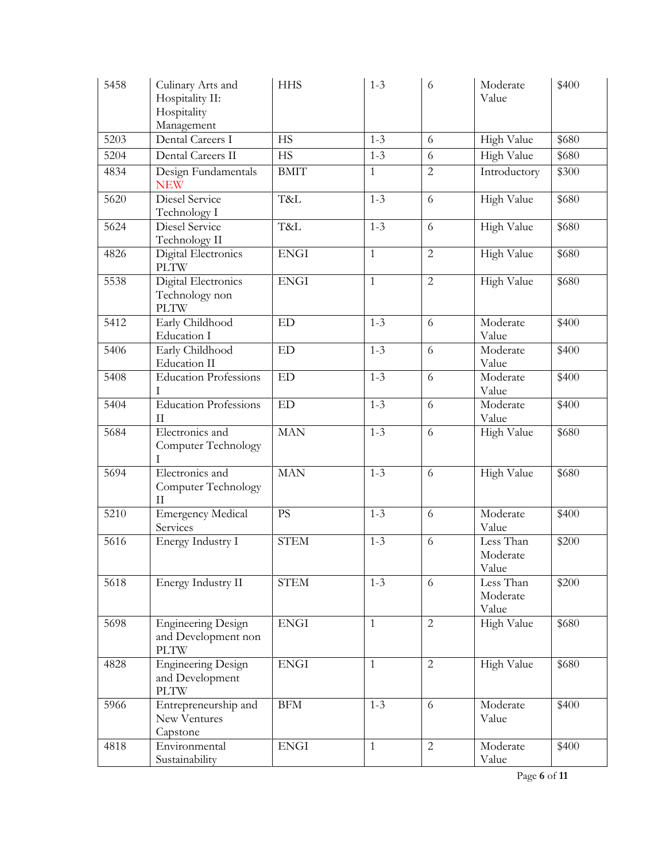| 5458 | Culinary Arts and<br>Hospitality II:<br>Hospitality<br>Management | <b>HHS</b>  | $1 - 3$      | 6              | Moderate<br>Value              | \$400 |
|------|-------------------------------------------------------------------|-------------|--------------|----------------|--------------------------------|-------|
| 5203 | Dental Careers I                                                  | <b>HS</b>   | $1 - 3$      | 6              | High Value                     | \$680 |
| 5204 | Dental Careers II                                                 | <b>HS</b>   | $1 - 3$      | 6              | <b>High Value</b>              | \$680 |
| 4834 | Design Fundamentals<br><b>NEW</b>                                 | <b>BMIT</b> | $\mathbf{1}$ | $\overline{2}$ | Introductory                   | \$300 |
| 5620 | Diesel Service<br>Technology I                                    | T&L         | $1 - 3$      | 6              | High Value                     | \$680 |
| 5624 | Diesel Service<br>Technology II                                   | T&L         | $1 - 3$      | 6              | High Value                     | \$680 |
| 4826 | Digital Electronics<br><b>PLTW</b>                                | <b>ENGI</b> | $\mathbf{1}$ | $\overline{2}$ | High Value                     | \$680 |
| 5538 | Digital Electronics<br>Technology non<br><b>PLTW</b>              | <b>ENGI</b> | $\mathbf{1}$ | $\overline{2}$ | High Value                     | \$680 |
| 5412 | Early Childhood<br>Education I                                    | ED          | $1 - 3$      | 6              | Moderate<br>Value              | \$400 |
| 5406 | Early Childhood<br>Education II                                   | ED          | $1 - 3$      | 6              | Moderate<br>Value              | \$400 |
| 5408 | <b>Education Professions</b><br>Τ                                 | ED          | $1 - 3$      | 6              | Moderate<br>Value              | \$400 |
| 5404 | <b>Education Professions</b><br>$\rm II$                          | ED          | $1 - 3$      | 6              | Moderate<br>Value              | \$400 |
| 5684 | Electronics and<br>Computer Technology<br>T                       | <b>MAN</b>  | $1 - 3$      | 6              | High Value                     | \$680 |
| 5694 | Electronics and<br><b>Computer Technology</b><br>$\rm II$         | <b>MAN</b>  | $1 - 3$      | 6              | High Value                     | \$680 |
| 5210 | <b>Emergency Medical</b><br>Services                              | PS          | $1 - 3$      | 6              | Moderate<br>Value              | \$400 |
| 5616 | Energy Industry I                                                 | <b>STEM</b> | $1 - 3$      | 6              | Less Than<br>Moderate<br>Value | \$200 |
| 5618 | Energy Industry II                                                | <b>STEM</b> | $1 - 3$      | 6              | Less Than<br>Moderate<br>Value | \$200 |
| 5698 | <b>Engineering Design</b><br>and Development non<br><b>PLTW</b>   | <b>ENGI</b> | $\mathbf{1}$ | 2              | High Value                     | \$680 |
| 4828 | <b>Engineering Design</b><br>and Development<br><b>PLTW</b>       | <b>ENGI</b> | $\mathbf{1}$ | $\overline{2}$ | High Value                     | \$680 |
| 5966 | Entrepreneurship and<br>New Ventures<br>Capstone                  | <b>BFM</b>  | $1 - 3$      | 6              | Moderate<br>Value              | \$400 |
| 4818 | Environmental<br>Sustainability                                   | <b>ENGI</b> | $\mathbf{1}$ | $\overline{2}$ | Moderate<br>Value              | \$400 |

Page **6** of **11**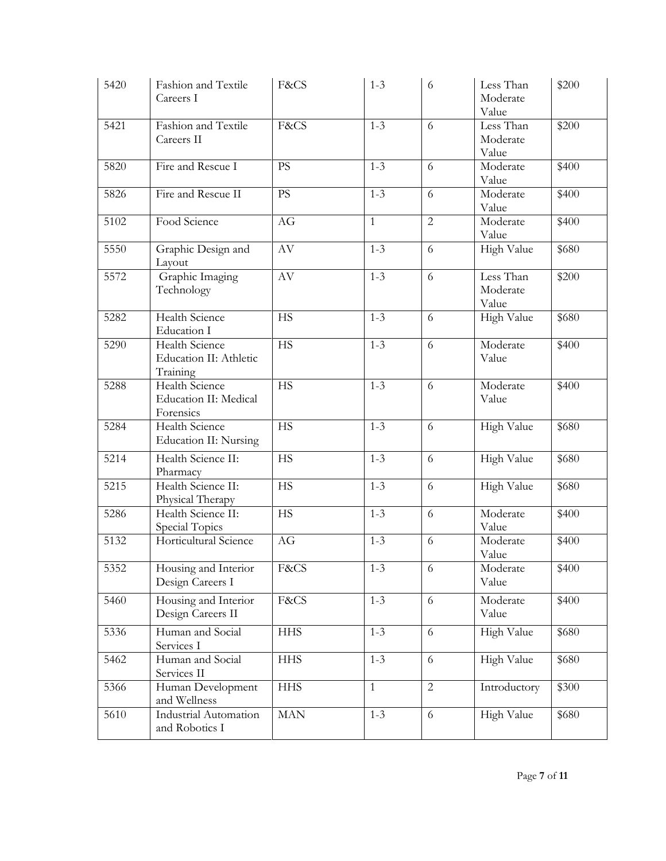| 5420 | Fashion and Textile<br>Careers I                            | F&CS            | $1 - 3$      | 6              | Less Than<br>Moderate<br>Value | \$200 |
|------|-------------------------------------------------------------|-----------------|--------------|----------------|--------------------------------|-------|
| 5421 | Fashion and Textile<br>Careers II                           | F&CS            | $1 - 3$      | 6              | Less Than<br>Moderate<br>Value | \$200 |
| 5820 | Fire and Rescue I                                           | <b>PS</b>       | $1 - 3$      | 6              | Moderate<br>Value              | \$400 |
| 5826 | Fire and Rescue II                                          | <b>PS</b>       | $1 - 3$      | 6              | Moderate<br>Value              | \$400 |
| 5102 | Food Science                                                | AG              | $\mathbf{1}$ | $\overline{2}$ | Moderate<br>Value              | \$400 |
| 5550 | Graphic Design and<br>Layout                                | $\rm{AV}$       | $1 - 3$      | 6              | High Value                     | \$680 |
| 5572 | Graphic Imaging<br>Technology                               | $\rm{AV}$       | $1 - 3$      | 6              | Less Than<br>Moderate<br>Value | \$200 |
| 5282 | <b>Health Science</b><br>Education I                        | <b>HS</b>       | $1 - 3$      | 6              | High Value                     | \$680 |
| 5290 | Health Science<br>Education II: Athletic<br>Training        | $\overline{HS}$ | $1 - 3$      | 6              | Moderate<br>Value              | \$400 |
| 5288 | <b>Health Science</b><br>Education II: Medical<br>Forensics | <b>HS</b>       | $1 - 3$      | 6              | Moderate<br>Value              | \$400 |
| 5284 | Health Science<br>Education II: Nursing                     | $\overline{HS}$ | $1 - 3$      | 6              | High Value                     | \$680 |
| 5214 | Health Science II:<br>Pharmacy                              | <b>HS</b>       | $1 - 3$      | 6              | High Value                     | \$680 |
| 5215 | Health Science II:<br>Physical Therapy                      | <b>HS</b>       | $1 - 3$      | 6              | High Value                     | \$680 |
| 5286 | Health Science II:<br>Special Topics                        | <b>HS</b>       | $1 - 3$      | 6              | Moderate<br>Value              | \$400 |
| 5132 | Horticultural Science                                       | AG              | $1 - 3$      | 6              | Moderate<br>Value              | \$400 |
| 5352 | Housing and Interior<br>Design Careers I                    | F&CS            | $1 - 3$      | 6              | Moderate<br>Value              | \$400 |
| 5460 | Housing and Interior<br>Design Careers II                   | F&CS            | $1 - 3$      | 6              | Moderate<br>Value              | \$400 |
| 5336 | Human and Social<br>Services I                              | <b>HHS</b>      | $1 - 3$      | 6              | High Value                     | \$680 |
| 5462 | Human and Social<br>Services II                             | <b>HHS</b>      | $1 - 3$      | 6              | High Value                     | \$680 |
| 5366 | Human Development<br>and Wellness                           | <b>HHS</b>      | $\mathbf{1}$ | $\overline{2}$ | Introductory                   | \$300 |
| 5610 | <b>Industrial Automation</b><br>and Robotics I              | <b>MAN</b>      | $1 - 3$      | 6              | High Value                     | \$680 |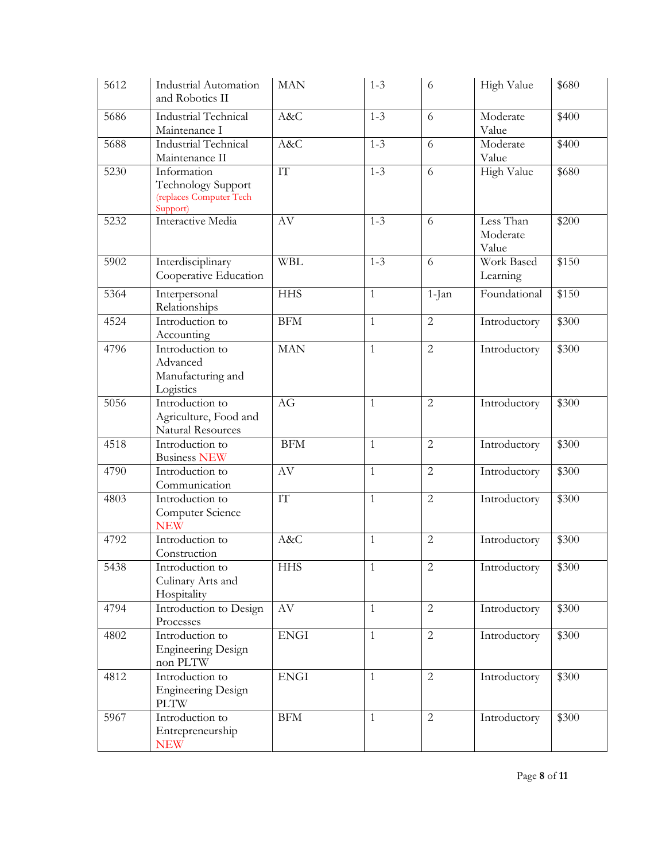| 5612 | <b>Industrial Automation</b><br>and Robotics II                                 | <b>MAN</b>               | $1 - 3$      | 6              | High Value                     | \$680 |
|------|---------------------------------------------------------------------------------|--------------------------|--------------|----------------|--------------------------------|-------|
| 5686 | <b>Industrial Technical</b><br>Maintenance I                                    | A&C                      | $1 - 3$      | 6              | Moderate<br>Value              | \$400 |
| 5688 | <b>Industrial Technical</b><br>Maintenance II                                   | A&C                      | $1 - 3$      | 6              | Moderate<br>Value              | \$400 |
| 5230 | Information<br><b>Technology Support</b><br>(replaces Computer Tech<br>Support) | ${\rm IT}$               | $1 - 3$      | 6              | High Value                     | \$680 |
| 5232 | Interactive Media                                                               | AV                       | $1 - 3$      | 6              | Less Than<br>Moderate<br>Value | \$200 |
| 5902 | Interdisciplinary<br>Cooperative Education                                      | <b>WBL</b>               | $1 - 3$      | 6              | Work Based<br>Learning         | \$150 |
| 5364 | Interpersonal<br>Relationships                                                  | <b>HHS</b>               | $\mathbf{1}$ | $1-Ian$        | Foundational                   | \$150 |
| 4524 | Introduction to<br>Accounting                                                   | <b>BFM</b>               | $\mathbf{1}$ | $\overline{2}$ | Introductory                   | \$300 |
| 4796 | Introduction to<br>Advanced<br>Manufacturing and<br>Logistics                   | <b>MAN</b>               | $\mathbf{1}$ | $\overline{2}$ | Introductory                   | \$300 |
| 5056 | Introduction to<br>Agriculture, Food and<br>Natural Resources                   | AG                       | $\mathbf{1}$ | $\overline{2}$ | Introductory                   | \$300 |
| 4518 | Introduction to<br><b>Business NEW</b>                                          | <b>BFM</b>               | $\mathbf{1}$ | $\overline{2}$ | Introductory                   | \$300 |
| 4790 | Introduction to<br>Communication                                                | AV                       | $\mathbf{1}$ | $\overline{2}$ | Introductory                   | \$300 |
| 4803 | Introduction to<br>Computer Science<br><b>NEW</b>                               | $\mathcal{I}\mathcal{T}$ | $\mathbf{1}$ | $\overline{2}$ | Introductory                   | \$300 |
| 4792 | Introduction to<br>Construction                                                 | A&C                      | $\mathbf{1}$ | $\overline{2}$ | Introductory                   | \$300 |
| 5438 | Introduction to<br>Culinary Arts and<br>Hospitality                             | <b>HHS</b>               | $\mathbf{1}$ | $\sqrt{2}$     | Introductory                   | \$300 |
| 4794 | Introduction to Design<br>Processes                                             | AV                       | $\mathbf{1}$ | $\overline{2}$ | Introductory                   | \$300 |
| 4802 | Introduction to<br><b>Engineering Design</b><br>non PLTW                        | <b>ENGI</b>              | $\mathbf{1}$ | $\overline{2}$ | Introductory                   | \$300 |
| 4812 | Introduction to<br><b>Engineering Design</b><br><b>PLTW</b>                     | <b>ENGI</b>              | $\mathbf{1}$ | $\overline{2}$ | Introductory                   | \$300 |
| 5967 | Introduction to<br>Entrepreneurship<br><b>NEW</b>                               | <b>BFM</b>               | $\mathbf{1}$ | $\overline{2}$ | Introductory                   | \$300 |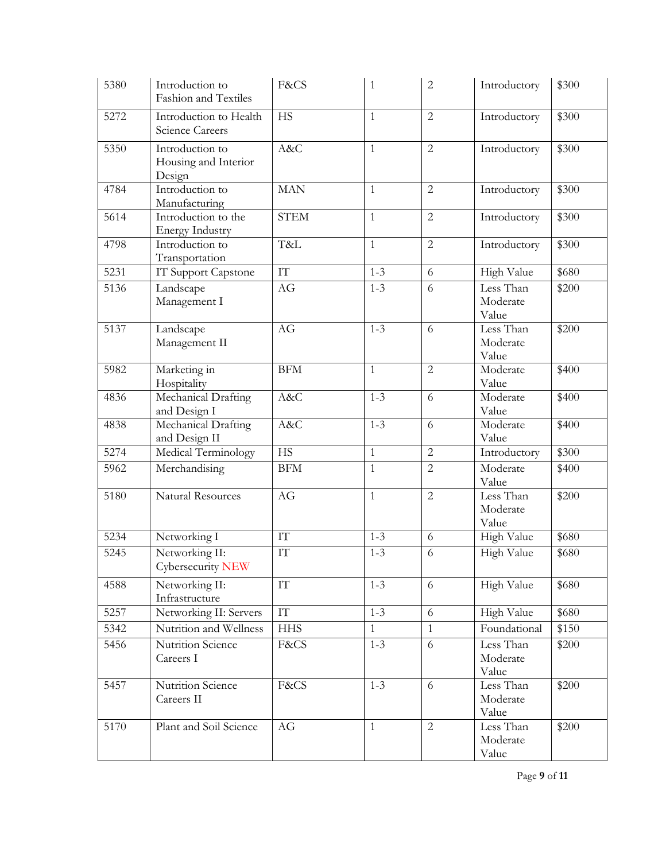| 5380 | Introduction to<br><b>Fashion and Textiles</b>    | F&CS                     | $\mathbf{1}$ | $\overline{2}$ | Introductory                   | \$300 |
|------|---------------------------------------------------|--------------------------|--------------|----------------|--------------------------------|-------|
| 5272 | Introduction to Health<br>Science Careers         | <b>HS</b>                | $\mathbf{1}$ | $\overline{2}$ | Introductory                   | \$300 |
| 5350 | Introduction to<br>Housing and Interior<br>Design | A&C                      | $\mathbf{1}$ | $\overline{2}$ | Introductory                   | \$300 |
| 4784 | Introduction to<br>Manufacturing                  | <b>MAN</b>               | $\mathbf{1}$ | $\overline{2}$ | Introductory                   | \$300 |
| 5614 | Introduction to the<br><b>Energy Industry</b>     | <b>STEM</b>              | $\mathbf{1}$ | $\overline{2}$ | Introductory                   | \$300 |
| 4798 | Introduction to<br>Transportation                 | T&L                      | $\mathbf{1}$ | $\overline{2}$ | Introductory                   | \$300 |
| 5231 | IT Support Capstone                               | $\overline{\text{IT}}$   | $1 - 3$      | 6              | High Value                     | \$680 |
| 5136 | Landscape<br>Management I                         | AG                       | $1 - 3$      | 6              | Less Than<br>Moderate<br>Value | \$200 |
| 5137 | Landscape<br>Management II                        | AG                       | $1 - 3$      | 6              | Less Than<br>Moderate<br>Value | \$200 |
| 5982 | Marketing in<br>Hospitality                       | <b>BFM</b>               | $\mathbf{1}$ | $\overline{2}$ | Moderate<br>Value              | \$400 |
| 4836 | Mechanical Drafting<br>and Design I               | A&C                      | $1 - 3$      | 6              | Moderate<br>Value              | \$400 |
| 4838 | Mechanical Drafting<br>and Design II              | A&C                      | $1 - 3$      | 6              | Moderate<br>Value              | \$400 |
| 5274 | Medical Terminology                               | <b>HS</b>                | $\mathbf{1}$ | $\overline{2}$ | Introductory                   | \$300 |
| 5962 | Merchandising                                     | <b>BFM</b>               | $\mathbf{1}$ | $\overline{2}$ | Moderate<br>Value              | \$400 |
| 5180 | Natural Resources                                 | AG                       | $\mathbf{1}$ | $\overline{2}$ | Less Than<br>Moderate<br>Value | \$200 |
| 5234 | Networking I                                      | $\mathcal{I}\mathcal{T}$ | $1 - 3$      | 6              | High Value                     | \$680 |
| 5245 | Networking II:<br>Cybersecurity NEW               | $\mathcal{I}\mathcal{T}$ | $1 - 3$      | 6              | High Value                     | \$680 |
| 4588 | Networking II:<br>Infrastructure                  | $\mathcal{I}\mathcal{T}$ | $1 - 3$      | 6              | High Value                     | \$680 |
| 5257 | Networking II: Servers                            | IT                       | $1 - 3$      | 6              | <b>High Value</b>              | \$680 |
| 5342 | Nutrition and Wellness                            | <b>HHS</b>               | $\mathbf{1}$ | $\mathbf{1}$   | Foundational                   | \$150 |
| 5456 | Nutrition Science<br>Careers I                    | F&CS                     | $1 - 3$      | 6              | Less Than<br>Moderate<br>Value | \$200 |
| 5457 | Nutrition Science<br>Careers II                   | F&CS                     | $1 - 3$      | 6              | Less Than<br>Moderate<br>Value | \$200 |
| 5170 | Plant and Soil Science                            | AG                       | $\mathbf{1}$ | 2              | Less Than<br>Moderate<br>Value | \$200 |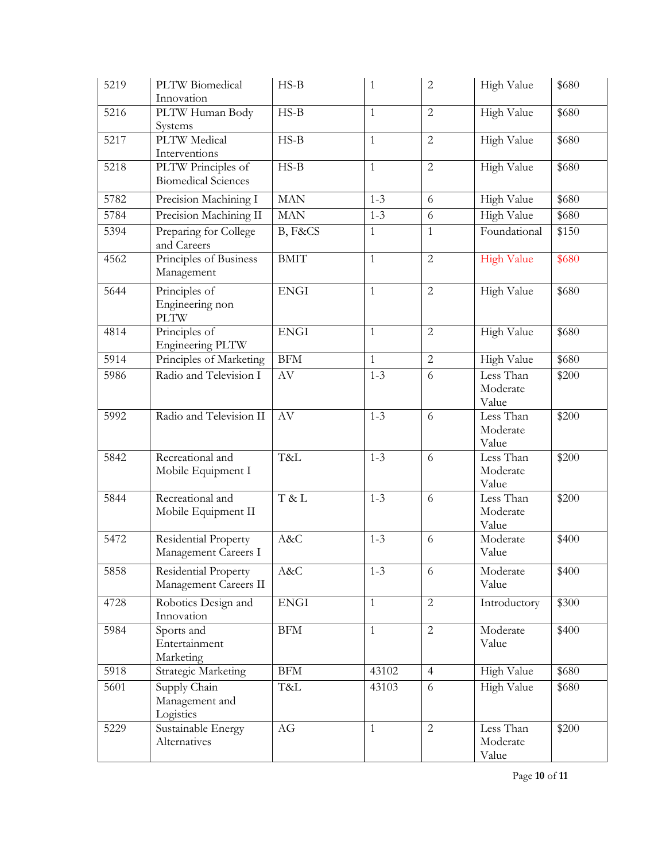| 5219 | PLTW Biomedical<br>Innovation                        | $HS-B$                 | $\mathbf{1}$ | $\overline{2}$ | High Value                     | \$680 |
|------|------------------------------------------------------|------------------------|--------------|----------------|--------------------------------|-------|
| 5216 | PLTW Human Body<br>Systems                           | $HS-B$                 | $\mathbf{1}$ | $\overline{2}$ | High Value                     | \$680 |
| 5217 | <b>PLTW</b> Medical<br>Interventions                 | $HS-B$                 | $\mathbf{1}$ | $\overline{2}$ | High Value                     | \$680 |
| 5218 | PLTW Principles of<br><b>Biomedical Sciences</b>     | $HS-B$                 | $\mathbf{1}$ | $\overline{2}$ | High Value                     | \$680 |
| 5782 | Precision Machining I                                | <b>MAN</b>             | $1 - 3$      | 6              | High Value                     | \$680 |
| 5784 | Precision Machining II                               | <b>MAN</b>             | $1 - 3$      | 6              | High Value                     | \$680 |
| 5394 | Preparing for College<br>and Careers                 | B, F&CS                | $\mathbf{1}$ | $\mathbf{1}$   | Foundational                   | \$150 |
| 4562 | Principles of Business<br>Management                 | <b>BMIT</b>            | $\mathbf{1}$ | $\overline{2}$ | <b>High Value</b>              | \$680 |
| 5644 | Principles of<br>Engineering non<br><b>PLTW</b>      | <b>ENGI</b>            | $\mathbf{1}$ | 2              | High Value                     | \$680 |
| 4814 | Principles of<br>Engineering PLTW                    | <b>ENGI</b>            | $\mathbf{1}$ | $\overline{2}$ | <b>High Value</b>              | \$680 |
| 5914 | Principles of Marketing                              | <b>BFM</b>             | $\mathbf{1}$ | $\overline{2}$ | High Value                     | \$680 |
| 5986 | Radio and Television I                               | $\mathbf{A}\mathbf{V}$ | $1 - 3$      | 6              | Less Than<br>Moderate<br>Value | \$200 |
| 5992 | Radio and Television II                              | AV                     | $1 - 3$      | 6              | Less Than<br>Moderate<br>Value | \$200 |
| 5842 | Recreational and<br>Mobile Equipment I               | T&L                    | $1 - 3$      | 6              | Less Than<br>Moderate<br>Value | \$200 |
| 5844 | Recreational and<br>Mobile Equipment II              | T & L                  | $1 - 3$      | 6              | Less Than<br>Moderate<br>Value | \$200 |
| 5472 | Residential Property<br>Management Careers I         | A&C                    | $1 - 3$      | 6              | Moderate<br>Value              | \$400 |
| 5858 | <b>Residential Property</b><br>Management Careers II | A&C                    | $1 - 3$      | 6              | Moderate<br>Value              | \$400 |
| 4728 | Robotics Design and<br>Innovation                    | <b>ENGI</b>            | $\mathbf{1}$ | $\overline{2}$ | Introductory                   | \$300 |
| 5984 | Sports and<br>Entertainment<br>Marketing             | $\operatorname{BFM}$   | $\mathbf{1}$ | $\overline{2}$ | Moderate<br>Value              | \$400 |
| 5918 | Strategic Marketing                                  | BFM                    | 43102        | $\overline{4}$ | High Value                     | \$680 |
| 5601 | Supply Chain<br>Management and<br>Logistics          | T&L                    | 43103        | 6              | High Value                     | \$680 |
| 5229 | Sustainable Energy<br>Alternatives                   | AG                     | $\mathbf{1}$ | 2              | Less Than<br>Moderate<br>Value | \$200 |